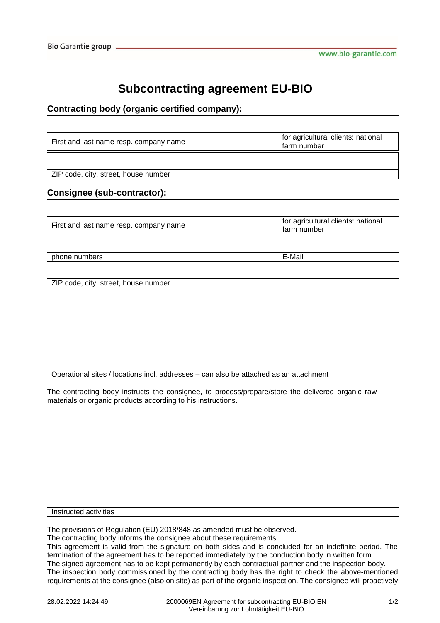## **Subcontracting agreement EU-BIO**

## **Contracting body (organic certified company):**

| First and last name resp. company name | for agricultural clients: national<br>farm number |
|----------------------------------------|---------------------------------------------------|
|                                        |                                                   |

ZIP code, city, street, house number

## **Consignee (sub-contractor):**

| First and last name resp. company name | for agricultural clients: national<br>farm number |
|----------------------------------------|---------------------------------------------------|
| phone numbers                          | E-Mail                                            |
| ZIP code, city, street, house number   |                                                   |
|                                        |                                                   |
|                                        |                                                   |
|                                        |                                                   |
|                                        |                                                   |

The contracting body instructs the consignee, to process/prepare/store the delivered organic raw materials or organic products according to his instructions.

Instructed activities

The provisions of Regulation (EU) 2018/848 as amended must be observed.

The contracting body informs the consignee about these requirements.

This agreement is valid from the signature on both sides and is concluded for an indefinite period. The termination of the agreement has to be reported immediately by the conduction body in written form.

The signed agreement has to be kept permanently by each contractual partner and the inspection body.

The inspection body commissioned by the contracting body has the right to check the above-mentioned requirements at the consignee (also on site) as part of the organic inspection. The consignee will proactively